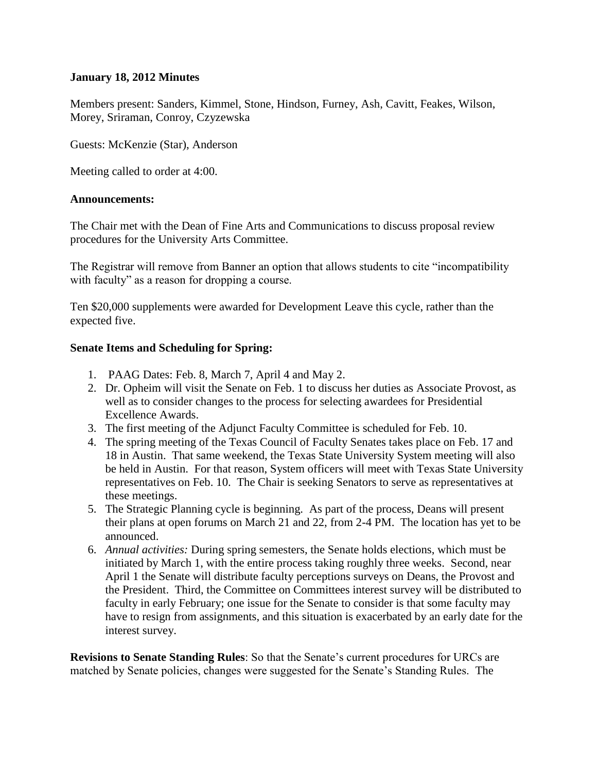## **January 18, 2012 Minutes**

Members present: Sanders, Kimmel, Stone, Hindson, Furney, Ash, Cavitt, Feakes, Wilson, Morey, Sriraman, Conroy, Czyzewska

Guests: McKenzie (Star), Anderson

Meeting called to order at 4:00.

### **Announcements:**

The Chair met with the Dean of Fine Arts and Communications to discuss proposal review procedures for the University Arts Committee.

The Registrar will remove from Banner an option that allows students to cite "incompatibility with faculty" as a reason for dropping a course.

Ten \$20,000 supplements were awarded for Development Leave this cycle, rather than the expected five.

### **Senate Items and Scheduling for Spring:**

- 1. PAAG Dates: Feb. 8, March 7, April 4 and May 2.
- 2. Dr. Opheim will visit the Senate on Feb. 1 to discuss her duties as Associate Provost, as well as to consider changes to the process for selecting awardees for Presidential Excellence Awards.
- 3. The first meeting of the Adjunct Faculty Committee is scheduled for Feb. 10.
- 4. The spring meeting of the Texas Council of Faculty Senates takes place on Feb. 17 and 18 in Austin. That same weekend, the Texas State University System meeting will also be held in Austin. For that reason, System officers will meet with Texas State University representatives on Feb. 10. The Chair is seeking Senators to serve as representatives at these meetings.
- 5. The Strategic Planning cycle is beginning. As part of the process, Deans will present their plans at open forums on March 21 and 22, from 2-4 PM. The location has yet to be announced.
- 6. *Annual activities:* During spring semesters, the Senate holds elections, which must be initiated by March 1, with the entire process taking roughly three weeks. Second, near April 1 the Senate will distribute faculty perceptions surveys on Deans, the Provost and the President. Third, the Committee on Committees interest survey will be distributed to faculty in early February; one issue for the Senate to consider is that some faculty may have to resign from assignments, and this situation is exacerbated by an early date for the interest survey.

**Revisions to Senate Standing Rules**: So that the Senate's current procedures for URCs are matched by Senate policies, changes were suggested for the Senate's Standing Rules. The